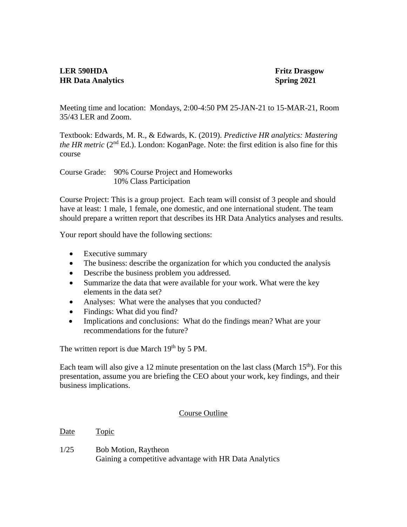## **LER 590HDA Fritz Drasgow HR Data Analytics** Spring 2021

Meeting time and location: Mondays, 2:00-4:50 PM 25-JAN-21 to 15-MAR-21, Room 35/43 LER and Zoom.

Textbook: Edwards, M. R., & Edwards, K. (2019). *Predictive HR analytics: Mastering the HR metric* (2<sup>nd</sup> Ed.). London: KoganPage. Note: the first edition is also fine for this course

Course Grade: 90% Course Project and Homeworks 10% Class Participation

Course Project: This is a group project. Each team will consist of 3 people and should have at least: 1 male, 1 female, one domestic, and one international student. The team should prepare a written report that describes its HR Data Analytics analyses and results.

Your report should have the following sections:

- Executive summary
- The business: describe the organization for which you conducted the analysis
- Describe the business problem you addressed.
- Summarize the data that were available for your work. What were the key elements in the data set?
- Analyses: What were the analyses that you conducted?
- Findings: What did you find?
- Implications and conclusions: What do the findings mean? What are your recommendations for the future?

The written report is due March  $19<sup>th</sup>$  by 5 PM.

Each team will also give a 12 minute presentation on the last class (March  $15<sup>th</sup>$ ). For this presentation, assume you are briefing the CEO about your work, key findings, and their business implications.

## Course Outline

Date Topic

1/25 Bob Motion, Raytheon Gaining a competitive advantage with HR Data Analytics